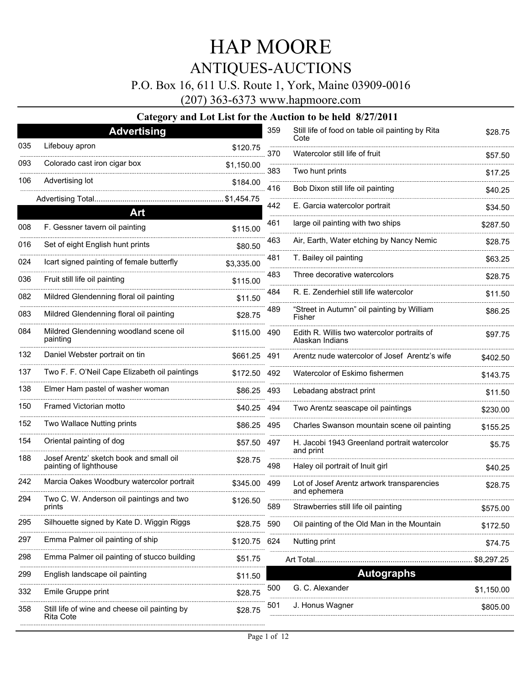### P.O. Box 16, 611 U.S. Route 1, York, Maine 03909-0016

(207) 363-6373 www.hapmoore.com

|     | <b>Advertising</b>                                                |             | 359 | Still life of food on table oil painting by Rita               | \$28.75    |
|-----|-------------------------------------------------------------------|-------------|-----|----------------------------------------------------------------|------------|
| 035 | Lifebouy apron                                                    | \$120.75    | 370 | Cote<br>Watercolor still life of fruit                         |            |
| 093 | Colorado cast iron cigar box                                      | \$1,150.00  |     |                                                                | \$57.50    |
| 106 | Advertising lot                                                   | \$184.00    | 383 | Two hunt prints                                                | \$17.25    |
|     | Advertising Total                                                 | \$1,454.75  | 416 | Bob Dixon still life oil painting                              | \$40.25    |
|     | Art                                                               |             | 442 | E. Garcia watercolor portrait                                  | \$34.50    |
| 008 | F. Gessner tavern oil painting                                    | \$115.00    | 461 | large oil painting with two ships                              | \$287.50   |
| 016 | Set of eight English hunt prints                                  | \$80.50     | 463 | Air, Earth, Water etching by Nancy Nemic                       | \$28.75    |
| 024 | Icart signed painting of female butterfly                         | \$3,335.00  | 481 | T. Bailey oil painting                                         | \$63.25    |
| 036 | Fruit still life oil painting                                     | \$115.00    | 483 | Three decorative watercolors                                   | \$28.75    |
| 082 | Mildred Glendenning floral oil painting                           | \$11.50     | 484 | R. E. Zenderhiel still life watercolor                         | \$11.50    |
| 083 | Mildred Glendenning floral oil painting                           | \$28.75     | 489 | "Street in Autumn" oil painting by William<br>Fisher           | \$86.25    |
| 084 | Mildred Glendenning woodland scene oil<br>painting                | \$115.00    | 490 | Edith R. Willis two watercolor portraits of<br>Alaskan Indians | \$97.75    |
| 132 | Daniel Webster portrait on tin                                    | \$661.25    | 491 | Arentz nude watercolor of Josef Arentz's wife                  | \$402.50   |
| 137 | Two F. F. O'Neil Cape Elizabeth oil paintings                     | \$172.50    | 492 | Watercolor of Eskimo fishermen                                 | \$143.75   |
| 138 | Elmer Ham pastel of washer woman                                  | \$86.25     | 493 | Lebadang abstract print                                        | \$11.50    |
| 150 | Framed Victorian motto                                            | \$40.25     | 494 | Two Arentz seascape oil paintings                              | \$230.00   |
| 152 | Two Wallace Nutting prints                                        | \$86.25     | 495 | Charles Swanson mountain scene oil painting                    | \$155.25   |
| 154 | Oriental painting of dog                                          | \$57.50     | 497 | H. Jacobi 1943 Greenland portrait watercolor                   | \$5.75     |
| 188 | Josef Arentz' sketch book and small oil<br>painting of lighthouse | \$28.75     | 498 | and print<br>Haley oil portrait of Inuit girl                  | \$40.25    |
| 242 | Marcia Oakes Woodbury watercolor portrait                         | \$345.00    | 499 | Lot of Josef Arentz artwork transparencies                     | \$28.75    |
| 294 | Two C. W. Anderson oil paintings and two<br>prints                | \$126.50    | 589 | and ephemera<br>Strawberries still life oil painting           | \$575.00   |
| 295 | Silhouette signed by Kate D. Wiggin Riggs                         | \$28.75 590 |     | Oil painting of the Old Man in the Mountain                    | \$172.50   |
| 297 | Emma Palmer oil painting of ship                                  | \$120.75    | 624 | Nutting print                                                  | \$74.75    |
| 298 | Emma Palmer oil painting of stucco building                       | \$51.75     |     |                                                                |            |
| 299 | English landscape oil painting                                    | \$11.50     |     | <b>Autographs</b>                                              |            |
| 332 | Emile Gruppe print                                                | \$28.75     | 500 | G. C. Alexander                                                | \$1,150.00 |
| 358 | Still life of wine and cheese oil painting by<br>Rita Cote        | \$28.75     | 501 | J. Honus Wagner                                                | \$805.00   |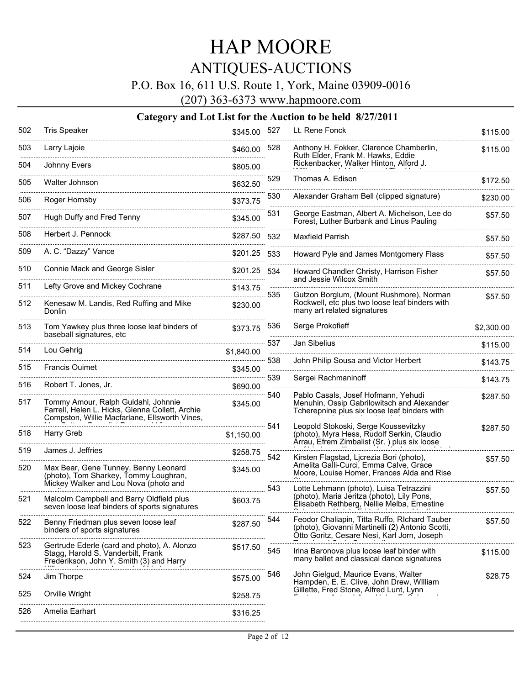### P.O. Box 16, 611 U.S. Route 1, York, Maine 03909-0016

(207) 363-6373 www.hapmoore.com

| 502      | <b>Tris Speaker</b>                                                                                                                     | \$345.00 527          |      | Lt. Rene Fonck                                                                                                                                   | \$115.00     |
|----------|-----------------------------------------------------------------------------------------------------------------------------------------|-----------------------|------|--------------------------------------------------------------------------------------------------------------------------------------------------|--------------|
| 503      | Larry Lajoie                                                                                                                            | \$460.00              | 528  | Anthony H. Fokker, Clarence Chamberlin,<br>Ruth Elder, Frank M. Hawks, Eddie                                                                     | \$115.00     |
| 504<br>. | Johnny Evers                                                                                                                            | \$805.00              |      | Rickenbacker, Walker Hinton, Alford J.                                                                                                           |              |
| 505      | Walter Johnson                                                                                                                          | \$632.50              | 529  | Thomas A. Edison                                                                                                                                 | \$172.50     |
| 506      | Roger Hornsby                                                                                                                           | \$373.75              | 530  | Alexander Graham Bell (clipped signature)                                                                                                        | \$230.00     |
| 507<br>. | Hugh Duffy and Fred Tenny                                                                                                               | \$345.00              | 531  | George Eastman, Albert A. Michelson, Lee do<br>Forest, Luther Burbank and Linus Pauling                                                          | \$57.50      |
| 508      | Herbert J. Pennock                                                                                                                      | \$287.50              | 532  | <b>Maxfield Parrish</b>                                                                                                                          | \$57.50      |
| 509      | A. C. "Dazzy" Vance                                                                                                                     | \$201.25              | 533  | Howard Pyle and James Montgomery Flass                                                                                                           | .<br>\$57.50 |
| 510<br>. | Connie Mack and George Sisler                                                                                                           | \$201.25<br>.         | -534 | Howard Chandler Christy, Harrison Fisher<br>and Jessie Wilcox Smith                                                                              | \$57.50      |
| 511      | Lefty Grove and Mickey Cochrane                                                                                                         | \$143.75              | 535  |                                                                                                                                                  |              |
| 512      | Kenesaw M. Landis, Red Ruffing and Mike<br>Donlin                                                                                       | \$230.00              |      | Gutzon Borglum, (Mount Rushmore), Norman<br>Rockwell, etc plus two loose leaf binders with<br>many art related signatures                        | \$57.50      |
| 513      | Tom Yawkey plus three loose leaf binders of<br>baseball signatures, etc                                                                 | \$373.75              | 536  | Serge Prokofieff                                                                                                                                 | \$2,300.00   |
| 514      | Lou Gehrig                                                                                                                              | \$1,840.00            | 537  | Jan Sibelius                                                                                                                                     | \$115.00     |
| 515      | <b>Francis Ouimet</b>                                                                                                                   | <br>\$345.00          | 538  | John Philip Sousa and Victor Herbert                                                                                                             | \$143.75     |
| 516      |                                                                                                                                         |                       | 539  | Sergei Rachmaninoff                                                                                                                              | \$143.75     |
|          | Robert T. Jones, Jr.                                                                                                                    | \$690.00              |      | Pablo Casals, Josef Hofmann, Yehudi                                                                                                              | \$287.50     |
| 517      | Tommy Amour, Ralph Guldahl, Johnnie<br>Farrell, Helen L. Hicks, Glenna Collett, Archie<br>Compston, Willie Macfarlane, Ellsworth Vines, | \$345.00              |      | Menuhin, Ossip Gabrilowitsch and Alexander<br>Tcherepnine plus six loose leaf binders with                                                       |              |
| 518      | <b>Harry Greb</b>                                                                                                                       | 541<br>\$1,150.00<br> |      | Leopold Stokoski, Serge Koussevitzky<br>(photo), Myra Hess, Rudolf Serkin, Claudio<br>Ärrau, Efrem Zimbalist (Sr.) plus six loose                | \$287.50     |
| 519      | James J. Jeffries                                                                                                                       | \$258.75              | 542  | Kirsten Flagstad, Ljcrezia Bori (photo),                                                                                                         |              |
| 520      | Max Bear, Gene Tunney, Benny Leonard<br>(photo), Tom Sharkey, Tommy Loughran,<br>Mickey Walker and Lou Nova (photo and                  | \$345.00              |      | Amelita Galli-Curci, Emma Calve, Grace<br>Moore, Louise Homer, Frances Alda and Rise                                                             | \$57.50      |
| 521      | Malcolm Campbell and Barry Oldfield plus<br>seven loose leaf binders of sports signatures                                               | \$603.75              | 543  | Lotte Lehmann (photo), Luisa Tetrazzini<br>(photo), Maria Jeritza (photo), Lily Pons,<br>Elisabeth Rethberg, Nellie Melba, Ernestine             | \$57.50      |
| 522      | Benny Friedman plus seven loose leaf<br>binders of sports signatures                                                                    | \$287.50              | 544  | Feodor Chaliapin, Titta Ruffo, RIchard Tauber<br>(photo), Giovanni Martinelli (2) Antonio Scotti,<br>Ötto Goritz, Cesare Nesi, Karl Jorn, Joseph | \$57.50      |
| 523      | Gertrude Ederle (card and photo), A. Alonzo<br>Stagg, Harold S. Vanderbilt, Frank<br>Frederikson, John Y. Smith (3) and Harry           | \$517.50              | 545  | Irina Baronova plus loose leaf binder with<br>many ballet and classical dance signatures                                                         | \$115.00     |
| 524      | アンティー・エヌ アイティー・エヌ しゅうしょう こうしょう しょうしょう<br>Jim Thorpe                                                                                     | \$575.00              | 546  | John Gielgud, Maurice Evans, Walter<br>Hampden, E. E. Clive, John Drew, William                                                                  | \$28.75      |
| 525      | Orville Wright                                                                                                                          | \$258.75              |      | Gillette, Fred Stone, Alfred Lunt, Lynn                                                                                                          |              |
| 526      | Amelia Earhart                                                                                                                          | \$316.25              |      |                                                                                                                                                  |              |
|          |                                                                                                                                         |                       |      |                                                                                                                                                  |              |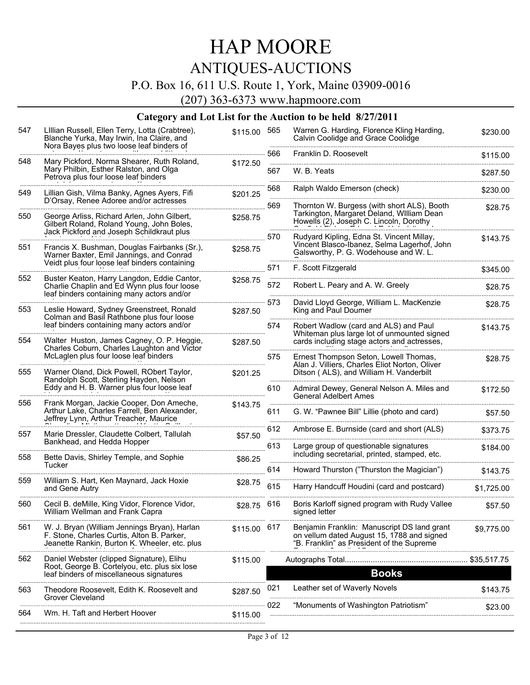# HAP MOORE

### ANTIQUES-AUCTIONS

P.O. Box 16, 611 U.S. Route 1, York, Maine 03909-0016

(207) 363-6373 www.hapmoore.com

| 547 | Lillian Russell, Ellen Terry, Lotta (Crabtree),<br>Blanche Yurka, May Irwin, Ina Claire, and<br>Nora Bayes plus two loose leaf binders of   | \$115.00 | 565             | Warren G. Harding, Florence Kling Harding,<br>Calvin Coolidge and Grace Coolidge                                                       | \$230.00     |
|-----|---------------------------------------------------------------------------------------------------------------------------------------------|----------|-----------------|----------------------------------------------------------------------------------------------------------------------------------------|--------------|
| 548 | Mary Pickford, Norma Shearer, Ruth Roland,                                                                                                  | \$172.50 | 566             | Franklin D. Roosevelt                                                                                                                  | \$115.00     |
|     | Mary Philbin, Esther Ralston, and Olga<br>Petrova plus four loose leaf binders                                                              |          | 567<br><u>.</u> | W. B. Yeats                                                                                                                            | \$287.50     |
| 549 | Lillian Gish, Vilma Banky, Agnes Ayers, Fifi<br>D'Orsay, Renee Adoree and/or actresses                                                      | \$201.25 | 568             | Ralph Waldo Emerson (check)                                                                                                            | \$230.00     |
| 550 | George Arliss, Richard Arlen, John Gilbert,<br>Gilbert Roland, Roland Young, John Boles,<br>Jack Pickford and Joseph Schildkraut plus       | \$258.75 | 569             | Thornton W. Burgess (with short ALS), Booth<br>Tarkington, Margaret Deland, William Dean<br>Howells (2), Joseph C. Lincoln, Dorothy    | \$28.75      |
| 551 | Francis X. Bushman, Douglas Fairbanks (Sr.),<br>Warner Baxter, Emil Jannings, and Conrad<br>Veidt plus four loose leaf binders containing   | \$258.75 | 570             | Rudyard Kipling, Edna St. Vincent Millay,<br>Vincent Blasco-Ibanez, Selma Lagerhof, John<br>Galsworthy, P. G. Wodehouse and W. L.      | \$143.75     |
|     |                                                                                                                                             |          | 571             | F. Scott Fitzgerald                                                                                                                    | \$345.00     |
| 552 | Buster Keaton, Harry Langdon, Eddie Cantor,<br>Charlie Chaplin and Ed Wynn plus four loose<br>leaf binders containing many actors and/or    | \$258.75 | 572             | Robert L. Peary and A. W. Greely                                                                                                       | \$28.75<br>. |
| 553 | Leslie Howard, Sydney Greenstreet, Ronald<br>Colman and Basil Rathbone plus four loose                                                      | \$287.50 | 573             | David Lloyd George, William L. MacKenzie<br>King and Paul Doumer                                                                       | \$28.75      |
|     | leaf binders containing many actors and/or                                                                                                  |          | 574             | Robert Wadlow (card and ALS) and Paul<br>Whiteman plus large lot of unmounted signed                                                   | \$143.75     |
| 554 | Walter Huston, James Cagney, O. P. Heggie,<br>Charles Coburn, Charles Laughton and Victor<br>McLaglen plus four loose leaf binders          | \$287.50 |                 | cards including stage actors and actresses,                                                                                            |              |
| 555 | Warner Oland, Dick Powell, RObert Taylor,                                                                                                   |          | 575             | Ernest Thompson Seton, Lowell Thomas,<br>Alan J. Villiers, Charles Eliot Norton, Oliver                                                | \$28.75      |
|     | Randolph Scott, Sterling Hayden, Nelson<br>Eddy and H. B. Warner plus four loose leaf                                                       | \$201.25 | 610             | Ditson (ALS), and William H. Vanderbilt<br>Admiral Dewey, General Nelson A. Miles and                                                  | \$172.50     |
| 556 | Frank Morgan, Jackie Cooper, Don Ameche,<br>Arthur Lake, Charles Farrell, Ben Alexander,                                                    | \$143.75 | 611             | <b>General Adelbert Ames</b><br>G. W. "Pawnee Bill" Lillie (photo and card)                                                            | \$57.50      |
|     | Jeffrey Lynn, Arthur Treacher, Maurice                                                                                                      |          | 612             | Ambrose E. Burnside (card and short (ALS)                                                                                              | \$373.75     |
| 557 | Marie Dressler, Claudette Colbert, Tallulah<br>Bankhead, and Hedda Hopper                                                                   | \$57.50  | 613             | Large group of questionable signatures                                                                                                 | \$184.00     |
| 558 | Bette Davis, Shirley Temple, and Sophie                                                                                                     | \$86.25  |                 | including secretarial, printed, stamped, etc.                                                                                          |              |
|     | Tucker                                                                                                                                      |          | 614             | Howard Thurston ("Thurston the Magician")                                                                                              | \$143.75     |
| 559 | William S. Hart, Ken Maynard, Jack Hoxie<br>and Gene Autry                                                                                  | \$28.75  | 615             | Harry Handcuff Houdini (card and postcard)                                                                                             | \$1,725.00   |
| 560 | Cecil B. deMille, King Vidor, Florence Vidor,<br>William Wellman and Frank Capra                                                            | \$28.75  | 616             | Boris Karloff signed program with Rudy Vallee<br>signed letter                                                                         | \$57.50      |
| 561 | W. J. Bryan (William Jennings Bryan), Harlan<br>F. Stone, Charles Curtis, Alton B. Parker,<br>Jeanette Rankin, Burton K. Wheeler, etc. plus | \$115.00 | 617             | Benjamin Franklin: Manuscript DS land grant<br>on vellum dated August 15, 1788 and signed<br>"B. Franklin" as President of the Supreme | \$9,775.00   |
| 562 | Daniel Webster (clipped Signature), Elihu                                                                                                   | \$115.00 |                 |                                                                                                                                        |              |
|     | Root, George B. Cortelyou, etc. plus six lose<br>leaf binders of miscellaneous signatures                                                   |          |                 | <b>Books</b>                                                                                                                           |              |
| 563 | Theodore Roosevelt, Edith K. Roosevelt and<br>Grover Cleveland                                                                              | \$287.50 | 021             | Leather set of Waverly Novels                                                                                                          | \$143.75     |
| 564 | Wm. H. Taft and Herbert Hoover                                                                                                              | \$115.00 | 022             | "Monuments of Washington Patriotism"                                                                                                   | \$23.00      |
|     |                                                                                                                                             |          |                 |                                                                                                                                        |              |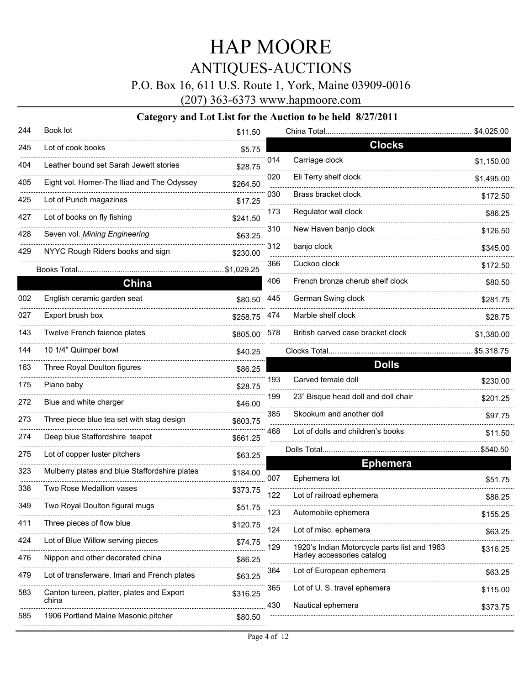### P.O. Box 16, 611 U.S. Route 1, York, Maine 03909-0016

(207) 363-6373 www.hapmoore.com

| 244             | Book lot                                           | \$11.50    |     |                                                                            | \$4,025.00 |
|-----------------|----------------------------------------------------|------------|-----|----------------------------------------------------------------------------|------------|
| 245             | Lot of cook books                                  | \$5.75     |     | <b>Clocks</b>                                                              |            |
| 404             | Leather bound set Sarah Jewett stories             | \$28.75    | 014 | Carriage clock                                                             | \$1,150.00 |
| 405             | Eight vol. Homer-The Iliad and The Odyssey         | \$264.50   | 020 | Eli Terry shelf clock                                                      | \$1,495.00 |
| 425             | Lot of Punch magazines                             | \$17.25    | 030 | Brass bracket clock                                                        | \$172.50   |
| 427             | Lot of books on fly fishing                        | \$241.50   | 173 | Regulator wall clock                                                       | \$86.25    |
| 428             | Seven vol. Mining Engineering                      | \$63.25    | 310 | New Haven banjo clock                                                      | \$126.50   |
| 429             | NYYC Rough Riders books and sign                   | \$230.00   | 312 | banjo clock                                                                | \$345.00   |
|                 |                                                    | \$1,029.25 | 366 | Cuckoo clock                                                               | \$172.50   |
|                 | China                                              |            | 406 | French bronze cherub shelf clock                                           | \$80.50    |
| 002             | English ceramic garden seat                        | \$80.50    | 445 | German Swing clock                                                         | \$281.75   |
| 027             | Export brush box                                   | \$258.75   | 474 | Marble shelf clock                                                         | \$28.75    |
| 143             | Twelve French faience plates                       | \$805.00   | 578 | British carved case bracket clock                                          | \$1,380.00 |
| 144             | 10 1/4" Quimper bowl                               | \$40.25    |     |                                                                            |            |
| 163             | Three Royal Doulton figures                        | \$86.25    |     | <b>Dolls</b>                                                               |            |
| 175             | Piano baby                                         | \$28.75    | 193 | Carved female doll                                                         | \$230.00   |
| 272             | Blue and white charger                             | \$46.00    | 199 | 23" Bisque head doll and doll chair                                        | \$201.25   |
| 273             | Three piece blue tea set with stag design          | \$603.75   | 385 | Skookum and another doll                                                   | \$97.75    |
| 274             | Deep blue Staffordshire teapot                     | \$661.25   | 468 | Lot of dolls and children's books                                          | \$11.50    |
| 275             | Lot of copper luster pitchers                      | \$63.25    |     |                                                                            | \$540.50   |
| 323             | Mulberry plates and blue Staffordshire plates      | \$184.00   |     | <b>Ephemera</b>                                                            |            |
| 338             | Two Rose Medallion vases                           | \$373.75   | 007 | Ephemera lot                                                               | \$51.75    |
| 349             | Two Royal Doulton figural mugs                     |            | 122 | Lot of railroad ephemera                                                   | \$86.25    |
| 411             | Three pieces of flow blue                          | \$51.75    | 123 | Automobile ephemera                                                        | \$155.25   |
|                 |                                                    | \$120.75   | 124 | Lot of misc. ephemera                                                      | \$63.25    |
| 424<br>-------- | Lot of Blue Willow serving pieces                  | \$74.75    | 129 | 1920's Indian Motorcycle parts list and 1963<br>Harley accessories catalog | \$316.25   |
| 476             | Nippon and other decorated china                   | \$86.25    | 364 | Lot of European ephemera                                                   | \$63.25    |
| 479             | Lot of transferware, Imari and French plates       | \$63.25    | 365 | <br>Lot of U. S. travel ephemera                                           |            |
| 583             | Canton tureen, platter, plates and Export<br>china | \$316.25   |     |                                                                            | \$115.00   |
| 585             | 1906 Portland Maine Masonic pitcher                | \$80.50    | 430 | Nautical ephemera                                                          | \$373.75   |
|                 |                                                    |            |     |                                                                            |            |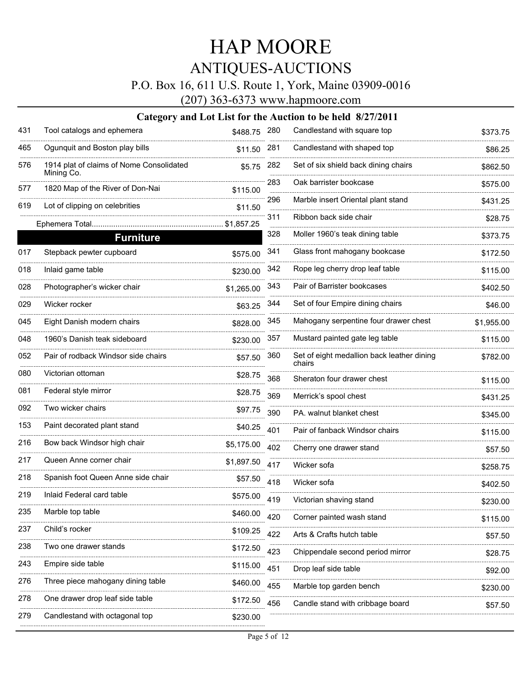### P.O. Box 16, 611 U.S. Route 1, York, Maine 03909-0016

(207) 363-6373 www.hapmoore.com

| 431 | Tool catalogs and ephemera                             | \$488.75 280 |     | Candlestand with square top                          | \$373.75   |
|-----|--------------------------------------------------------|--------------|-----|------------------------------------------------------|------------|
| 465 | Ogunquit and Boston play bills                         | \$11.50      | 281 | Candlestand with shaped top                          | \$86.25    |
| 576 | 1914 plat of claims of Nome Consolidated<br>Mining Co. | \$5.75       | 282 | Set of six shield back dining chairs                 | \$862.50   |
| 577 | 1820 Map of the River of Don-Nai                       | \$115.00     | 283 | Oak barrister bookcase                               | \$575.00   |
| 619 | Lot of clipping on celebrities                         | \$11.50      | 296 | Marble insert Oriental plant stand                   | \$431.25   |
|     |                                                        | \$1,857.25   | 311 | Ribbon back side chair                               | \$28.75    |
|     | <b>Furniture</b>                                       |              | 328 | Moller 1960's teak dining table                      | \$373.75   |
| 017 | Stepback pewter cupboard                               | \$575.00     | 341 | Glass front mahogany bookcase                        | \$172.50   |
| 018 | Inlaid game table                                      | \$230.00     | 342 | Rope leg cherry drop leaf table                      | \$115.00   |
| 028 | Photographer's wicker chair                            | \$1,265.00   | 343 | Pair of Barrister bookcases                          | \$402.50   |
| 029 | Wicker rocker                                          | \$63.25      | 344 | Set of four Empire dining chairs                     | \$46.00    |
| 045 | Eight Danish modern chairs                             | \$828.00     | 345 | Mahogany serpentine four drawer chest                | \$1,955.00 |
| 048 | 1960's Danish teak sideboard                           | \$230.00     | 357 | Mustard painted gate leg table                       | \$115.00   |
| 052 | Pair of rodback Windsor side chairs                    | \$57.50      | 360 | Set of eight medallion back leather dining<br>chairs | \$782.00   |
| 080 | Victorian ottoman                                      | \$28.75      | 368 | Sheraton four drawer chest                           | \$115.00   |
| 081 | Federal style mirror                                   | \$28.75      | 369 | Merrick's spool chest                                | \$431.25   |
| 092 | Two wicker chairs                                      | \$97.75      | 390 | PA, walnut blanket chest                             | \$345.00   |
| 153 | Paint decorated plant stand                            | \$40.25      | 401 | Pair of fanback Windsor chairs                       | \$115.00   |
| 216 | Bow back Windsor high chair                            | \$5,175.00   | 402 | Cherry one drawer stand                              | \$57.50    |
| 217 | Queen Anne corner chair                                | \$1,897.50   | 417 | Wicker sofa                                          | \$258.75   |
| 218 | Spanish foot Queen Anne side chair                     | \$57.50      | 418 | Wicker sofa                                          | \$402.50   |
| 219 | Inlaid Federal card table                              | \$575.00     | 419 | Victorian shaving stand                              | \$230.00   |
| 235 | Marble top table                                       | \$460.00     | 420 | Corner painted wash stand                            | \$115.00   |
| 237 | Child's rocker                                         | \$109.25     | 422 | Arts & Crafts hutch table                            | \$57.50    |
| 238 | Two one drawer stands                                  | \$172.50     | 423 | Chippendale second period mirror                     | \$28.75    |
| 243 | Empire side table                                      | \$115.00     | 451 | Drop leaf side table                                 | \$92.00    |
| 276 | Three piece mahogany dining table                      | \$460.00     | 455 | Marble top garden bench                              | \$230.00   |
| 278 | One drawer drop leaf side table                        | \$172.50     | 456 | Candle stand with cribbage board                     |            |
| 279 | Candlestand with octagonal top                         | \$230.00     |     |                                                      | \$57.50    |
|     |                                                        |              |     |                                                      |            |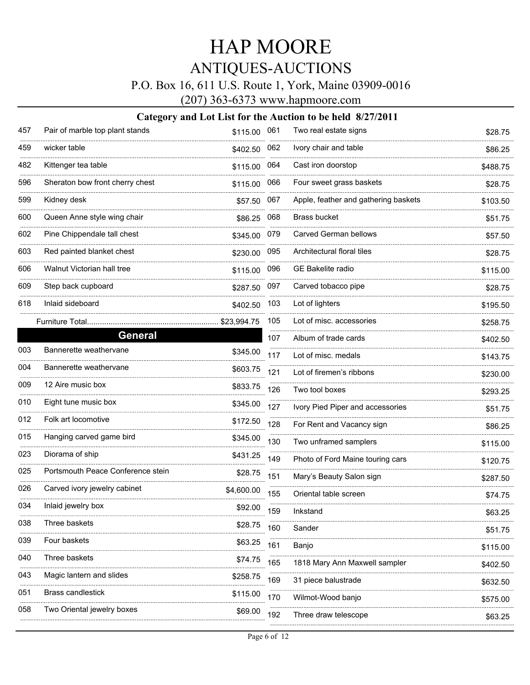### P.O. Box 16, 611 U.S. Route 1, York, Maine 03909-0016

(207) 363-6373 www.hapmoore.com

| 457     | Pair of marble top plant stands   | \$115.00 061 |     | Two real estate signs                | \$28.75  |
|---------|-----------------------------------|--------------|-----|--------------------------------------|----------|
| 459     | wicker table                      | \$402.50     | 062 | Ivory chair and table                | \$86.25  |
| 482     | Kittenger tea table               | \$115.00     | 064 | Cast iron doorstop                   | \$488.75 |
| 596     | Sheraton bow front cherry chest   | \$115.00     | 066 | Four sweet grass baskets             | \$28.75  |
| 599     | Kidney desk                       | \$57.50      | 067 | Apple, feather and gathering baskets | \$103.50 |
| 600     | Queen Anne style wing chair       | \$86.25      | 068 | Brass bucket                         | \$51.75  |
| 602     | Pine Chippendale tall chest       | \$345.00     | 079 | <b>Carved German bellows</b>         | \$57.50  |
| <br>603 | Red painted blanket chest         | \$230.00     | 095 | Architectural floral tiles           | \$28.75  |
| 606     | Walnut Victorian hall tree        | \$115.00     | 096 | GE Bakelite radio                    | \$115.00 |
| 609     | Step back cupboard                | \$287.50     | 097 | Carved tobacco pipe                  | \$28.75  |
| 618     | Inlaid sideboard                  | \$402.50     | 103 | Lot of lighters                      | \$195.50 |
|         | Furniture Total                   | \$23,994.75  | 105 | Lot of misc. accessories             | \$258.75 |
|         | General                           |              | 107 | Album of trade cards                 | \$402.50 |
| 003     | Bannerette weathervane            | \$345.00     | 117 | Lot of misc. medals                  | \$143.75 |
| 004     | Bannerette weathervane            | \$603.75     | 121 | Lot of firemen's ribbons             | \$230.00 |
| 009     | 12 Aire music box                 | \$833.75     | 126 | Two tool boxes                       | \$293.25 |
| 010     | Eight tune music box              | \$345.00     | 127 | Ivory Pied Piper and accessories     | \$51.75  |
| 012     | Folk art locomotive               | \$172.50     | 128 | For Rent and Vacancy sign            | \$86.25  |
| 015     | Hanging carved game bird          | \$345.00     | 130 | Two unframed samplers                | \$115.00 |
| 023     | Diorama of ship                   | \$431.25     | 149 | Photo of Ford Maine touring cars     | \$120.75 |
| 025     | Portsmouth Peace Conference stein | \$28.75      | 151 | Mary's Beauty Salon sign             | \$287.50 |
| 026     | Carved ivory jewelry cabinet      | \$4,600.00   | 155 | Oriental table screen                | \$74.75  |
| 034     | Inlaid jewelry box                | \$92.00      | 159 | Inkstand                             | \$63.25  |
| 038     | Three baskets                     | \$28.75      | 160 | Sander                               | \$51.75  |
| 039     | Four baskets                      | \$63.25      | 161 | Banjo                                | \$115.00 |
| 040     | Three baskets                     | \$74.75      | 165 | 1818 Mary Ann Maxwell sampler        | \$402.50 |
| 043     | Magic lantern and slides          | \$258.75     | 169 | 31 piece balustrade                  | \$632.50 |
| 051     | Brass candlestick                 | \$115.00     | 170 | Wilmot-Wood banjo                    | \$575.00 |
| 058     | Two Oriental jewelry boxes        | \$69.00      | 192 | Three draw telescope                 |          |
|         |                                   |              |     |                                      | \$63.25  |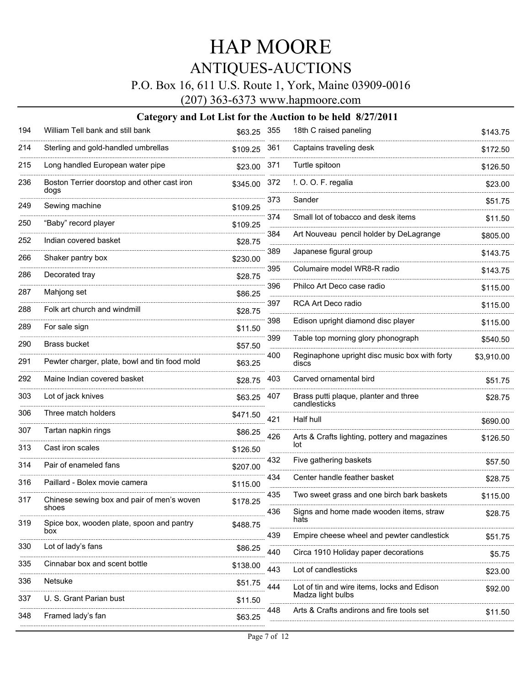### P.O. Box 16, 611 U.S. Route 1, York, Maine 03909-0016

(207) 363-6373 www.hapmoore.com

| 194 | William Tell bank and still bank                    | \$63.25 355  |     | 18th C raised paneling                                 | \$143.75   |
|-----|-----------------------------------------------------|--------------|-----|--------------------------------------------------------|------------|
| 214 | Sterling and gold-handled umbrellas                 | \$109.25 361 |     | Captains traveling desk                                | \$172.50   |
| 215 | Long handled European water pipe                    | \$23.00      | 371 | Turtle spitoon                                         | \$126.50   |
| 236 | Boston Terrier doorstop and other cast iron<br>dogs | \$345.00     | 372 | I. O. O. F. regalia                                    | \$23.00    |
| 249 | Sewing machine                                      | \$109.25     | 373 | Sander                                                 | \$51.75    |
| 250 | "Baby" record player                                | \$109.25     | 374 | Small lot of tobacco and desk items                    | \$11.50    |
| 252 | Indian covered basket                               | \$28.75      | 384 | Art Nouveau pencil holder by DeLagrange                | \$805.00   |
| 266 | Shaker pantry box                                   | \$230.00     | 389 | Japanese figural group                                 | \$143.75   |
| 286 | Decorated tray                                      | \$28.75      | 395 | Columaire model WR8-R radio                            | \$143.75   |
| 287 | Mahjong set                                         | \$86.25      | 396 | Philco Art Deco case radio                             | \$115.00   |
| 288 | Folk art church and windmill                        | \$28.75      | 397 | RCA Art Deco radio                                     | \$115.00   |
| 289 | For sale sign                                       | \$11.50      | 398 | Edison upright diamond disc player                     | \$115.00   |
| 290 | <b>Brass bucket</b>                                 | \$57.50      | 399 | Table top morning glory phonograph                     | \$540.50   |
| 291 | Pewter charger, plate, bowl and tin food mold       | \$63.25      | 400 | Reginaphone upright disc music box with forty<br>discs | \$3,910.00 |
| 292 | Maine Indian covered basket                         | \$28.75 403  |     | Carved ornamental bird                                 | \$51.75    |
| 303 | Lot of jack knives                                  | \$63.25 407  |     | Brass putti plaque, planter and three<br>candlesticks  | \$28.75    |
| 306 | Three match holders                                 | \$471.50     | 421 | Half hull                                              | \$690.00   |
| 307 | Tartan napkin rings                                 | \$86.25      | 426 | Arts & Crafts lighting, pottery and magazines          | \$126.50   |
| 313 | Cast iron scales                                    | \$126.50     |     | lot                                                    |            |
| 314 | Pair of enameled fans                               | \$207.00     | 432 | Five gathering baskets                                 | \$57.50    |
| 316 | Paillard - Bolex movie camera                       | \$115.00     | 434 | Center handle feather basket                           | \$28.75    |
| 317 | Chinese sewing box and pair of men's woven<br>shoes | \$178.25     | 435 | Two sweet grass and one birch bark baskets             | \$115.00   |
| 319 | Spice box, wooden plate, spoon and pantry           | \$488.75     | 436 | Signs and home made wooden items, straw<br>hats        | \$28.75    |
|     | box                                                 |              | 439 | Empire cheese wheel and pewter candlestick             | \$51.75    |
| 330 | Lot of lady's fans                                  | \$86.25      | 440 | Circa 1910 Holiday paper decorations                   | \$5.75     |
| 335 | Cinnabar box and scent bottle                       | \$138.00     | 443 | Lot of candlesticks                                    | \$23.00    |
| 336 | Netsuke                                             | \$51.75      | 444 | Lot of tin and wire items, locks and Edison            | \$92.00    |
| 337 | U. S. Grant Parian bust                             | \$11.50      |     | Madza light bulbs                                      |            |
| 348 | Framed lady's fan                                   | \$63.25      | 448 | Arts & Crafts andirons and fire tools set              | \$11.50    |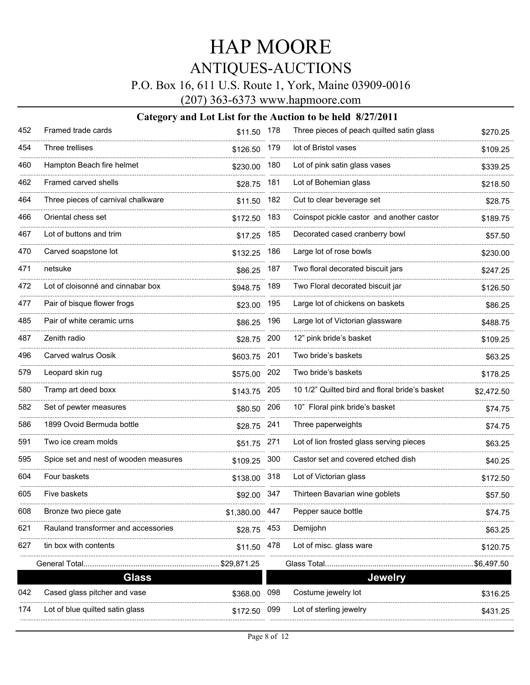### P.O. Box 16, 611 U.S. Route 1, York, Maine 03909-0016

(207) 363-6373 www.hapmoore.com

| Framed trade cards                    |            |     | Three pieces of peach quilted satin glass                                                                                                             | \$270.25   |
|---------------------------------------|------------|-----|-------------------------------------------------------------------------------------------------------------------------------------------------------|------------|
| Three trellises                       |            |     | lot of Bristol vases                                                                                                                                  | \$109.25   |
| Hampton Beach fire helmet             | \$230.00   | 180 | Lot of pink satin glass vases                                                                                                                         | \$339.25   |
| Framed carved shells                  | \$28.75    | 181 | Lot of Bohemian glass                                                                                                                                 | \$218.50   |
| Three pieces of carnival chalkware    |            |     | Cut to clear beverage set                                                                                                                             | \$28.75    |
| Oriental chess set                    | \$172.50   | 183 | Coinspot pickle castor and another castor                                                                                                             | \$189.75   |
| Lot of buttons and trim               | \$17.25    | 185 | Decorated cased cranberry bowl                                                                                                                        | \$57.50    |
| Carved soapstone lot                  | \$132.25   | 186 | Large lot of rose bowls                                                                                                                               | \$230.00   |
| netsuke                               | \$86.25    | 187 | Two floral decorated biscuit jars                                                                                                                     | \$247.25   |
| Lot of cloisonné and cinnabar box     | \$948.75   | 189 | Two Floral decorated biscuit jar                                                                                                                      | \$126.50   |
| Pair of bisque flower frogs           |            | 195 | Large lot of chickens on baskets                                                                                                                      | \$86.25    |
| Pair of white ceramic urns            | \$86.25    | 196 | Large lot of Victorian glassware                                                                                                                      | \$488.75   |
| Zenith radio                          | \$28.75    | 200 | 12" pink bride's basket                                                                                                                               | \$109.25   |
| Carved walrus Oosik                   |            | 201 | Two bride's baskets                                                                                                                                   | \$63.25    |
| Leopard skin rug                      | \$575.00   | 202 | Two bride's baskets                                                                                                                                   | \$178.25   |
| Tramp art deed boxx                   | \$143.75   | 205 | 10 1/2" Quilted bird and floral bride's basket                                                                                                        | \$2,472.50 |
| Set of pewter measures                |            |     | 10" Floral pink bride's basket                                                                                                                        | \$74.75    |
| 1899 Ovoid Bermuda bottle             |            | 241 | Three paperweights                                                                                                                                    | \$74.75    |
| Two ice cream molds                   |            |     | Lot of lion frosted glass serving pieces                                                                                                              | \$63.25    |
| Spice set and nest of wooden measures |            |     | Castor set and covered etched dish                                                                                                                    | \$40.25    |
| Four baskets                          |            | 318 | Lot of Victorian glass                                                                                                                                | \$172.50   |
| Five baskets                          |            |     | Thirteen Bavarian wine goblets                                                                                                                        | \$57.50    |
| Bronze two piece gate                 | \$1,380.00 |     | Pepper sauce bottle                                                                                                                                   | \$74.75    |
| Rauland transformer and accessories   | \$28.75    | 453 | Demijohn                                                                                                                                              | \$63.25    |
| tin box with contents                 | \$11.50    | 478 | Lot of misc. glass ware                                                                                                                               | \$120.75   |
| General Total                         |            |     | Glass Total                                                                                                                                           | \$6,497.50 |
| <b>Glass</b>                          |            |     | <b>Jewelry</b>                                                                                                                                        |            |
| Cased glass pitcher and vase          | \$368.00   | 098 | Costume jewelry lot                                                                                                                                   | \$316.25   |
| Lot of blue quilted satin glass       | \$172.50   | 099 | Lot of sterling jewelry                                                                                                                               | \$431.25   |
|                                       |            |     | \$11.50 178<br>\$126.50 179<br>\$11.50 182<br>\$23.00<br>\$603.75<br>\$80.50 206<br>\$28.75<br>\$51.75 271<br>\$109.25 300<br>\$138.00<br>\$92.00 347 |            |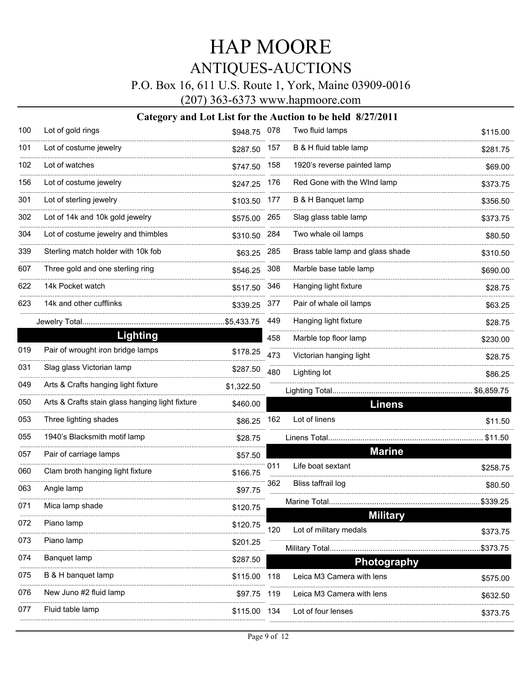### P.O. Box 16, 611 U.S. Route 1, York, Maine 03909-0016

(207) 363-6373 www.hapmoore.com

| 100 | Lot of gold rings                               | \$948.75 078 |     | Two fluid lamps                           | \$115.00   |
|-----|-------------------------------------------------|--------------|-----|-------------------------------------------|------------|
| 101 | Lot of costume jewelry                          | \$287.50     | 157 | B & H fluid table lamp                    | \$281.75   |
| 102 | Lot of watches                                  | \$747.50     | 158 | 1920's reverse painted lamp               | \$69.00    |
| 156 | Lot of costume jewelry                          | \$247.25     | 176 | Red Gone with the WInd lamp               | \$373.75   |
| 301 | Lot of sterling jewelry                         | \$103.50     | 177 | B & H Banquet lamp                        | \$356.50   |
| 302 | Lot of 14k and 10k gold jewelry                 | \$575.00     | 265 | Slag glass table lamp                     | \$373.75   |
| 304 | Lot of costume jewelry and thimbles             | \$310.50     | 284 | Two whale oil lamps                       | \$80.50    |
| 339 | Sterling match holder with 10k fob              | \$63.25      | 285 | Brass table lamp and glass shade          | \$310.50   |
| 607 | Three gold and one sterling ring                | \$546.25     | 308 | Marble base table lamp                    | \$690.00   |
| 622 | 14k Pocket watch                                | \$517.50     | 346 | Hanging light fixture                     | \$28.75    |
| 623 | 14k and other cufflinks                         | \$339.25     | 377 | Pair of whale oil lamps                   | \$63.25    |
|     | Jewelry Total                                   | \$5,433.75   | 449 | Hanging light fixture                     | \$28.75    |
|     | Lighting                                        |              | 458 | Marble top floor lamp                     | \$230.00   |
| 019 | Pair of wrought iron bridge lamps               | \$178.25     | 473 | Victorian hanging light                   | \$28.75    |
| 031 | Slag glass Victorian lamp                       | \$287.50     | 480 | Lighting lot                              | \$86.25    |
| 049 | Arts & Crafts hanging light fixture             | \$1,322.50   |     | Lighting Total                            | \$6,859.75 |
| 050 | Arts & Crafts stain glass hanging light fixture | \$460.00     |     | <b>Linens</b>                             |            |
| 053 | Three lighting shades                           | \$86.25      | 162 | Lot of linens                             | \$11.50    |
| 055 | 1940's Blacksmith motif lamp                    | \$28.75      |     | Linens Total                              | \$11.50    |
| 057 | Pair of carriage lamps                          | \$57.50      |     | <b>Marine</b>                             |            |
| 060 | Clam broth hanging light fixture                | \$166.75     | 011 | Life boat sextant                         | \$258.75   |
| 063 | Angle lamp                                      | \$97.75      | 362 | Bliss taffrail log                        | \$80.50    |
| 071 | Mica lamp shade                                 | \$120.75     |     | Marine Total                              | \$339.25   |
| 072 | Piano lamp                                      | \$120.75     | 120 | <b>Military</b><br>Lot of military medals |            |
| 073 | Piano lamp                                      | \$201.25     |     |                                           | \$373.75   |
| 074 | Banquet lamp                                    | \$287.50     |     | <b>Photography</b>                        | \$373.75   |
| 075 | B & H banquet lamp                              | \$115.00     | 118 | Leica M3 Camera with lens                 | \$575.00   |
| 076 | New Juno #2 fluid lamp                          | \$97.75      | 119 | Leica M3 Camera with lens                 | \$632.50   |
| 077 | Fluid table lamp                                | \$115.00     | 134 | Lot of four lenses                        | \$373.75   |
|     |                                                 |              |     |                                           |            |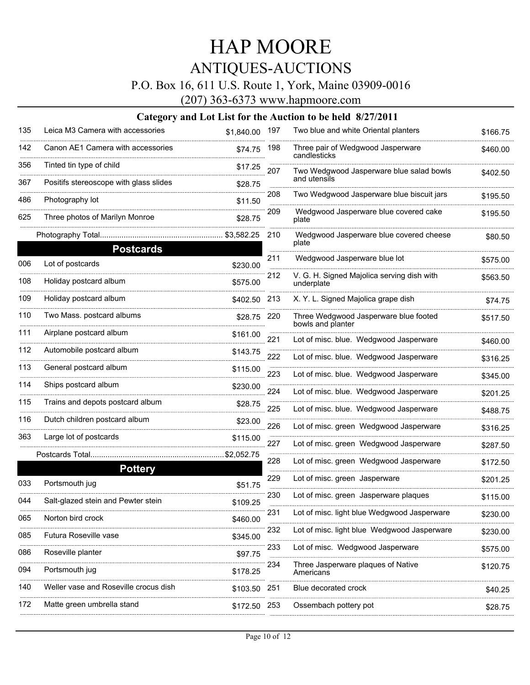### P.O. Box 16, 611 U.S. Route 1, York, Maine 03909-0016

(207) 363-6373 www.hapmoore.com

| 135 | Leica M3 Camera with accessories       | \$1,840.00 197 |     | Two blue and white Oriental planters                       | \$166.75 |
|-----|----------------------------------------|----------------|-----|------------------------------------------------------------|----------|
| 142 | Canon AE1 Camera with accessories      | \$74.75        | 198 | Three pair of Wedgwood Jasperware<br>candlesticks          | \$460.00 |
| 356 | Tinted tin type of child               | \$17.25        | 207 | Two Wedgwood Jasperware blue salad bowls                   | \$402.50 |
| 367 | Positifs stereoscope with glass slides | \$28.75        |     | and utensils                                               |          |
| 486 | Photography lot                        | \$11.50        | 208 | Two Wedgwood Jasperware blue biscuit jars                  | \$195.50 |
| 625 | Three photos of Marilyn Monroe         | \$28.75        | 209 | Wedgwood Jasperware blue covered cake<br>plate             | \$195.50 |
|     | Photography Total                      | \$3,582.25     | 210 | Wedgwood Jasperware blue covered cheese<br>plate           | \$80.50  |
|     | <b>Postcards</b>                       |                | 211 |                                                            |          |
| 006 | Lot of postcards                       | \$230.00       |     | Wedgwood Jasperware blue lot                               | \$575.00 |
| 108 | Holiday postcard album                 | \$575.00       | 212 | V. G. H. Signed Majolica serving dish with<br>underplate   | \$563.50 |
| 109 | Holiday postcard album                 | \$402.50       | 213 | X. Y. L. Signed Majolica grape dish                        | \$74.75  |
| 110 | Two Mass. postcard albums              | \$28.75        | 220 | Three Wedgwood Jasperware blue footed<br>bowls and planter | \$517.50 |
| 111 | Airplane postcard album                | \$161.00       | 221 | Lot of misc. blue. Wedgwood Jasperware                     | \$460.00 |
| 112 | Automobile postcard album              | \$143.75       | 222 | Lot of misc. blue. Wedgwood Jasperware                     | \$316.25 |
| 113 | General postcard album                 | \$115.00       | 223 | Lot of misc. blue. Wedgwood Jasperware                     | \$345.00 |
| 114 | Ships postcard album                   | \$230.00       | 224 | Lot of misc. blue. Wedgwood Jasperware                     | \$201.25 |
| 115 | Trains and depots postcard album       | \$28.75        | 225 | Lot of misc. blue. Wedgwood Jasperware                     | \$488.75 |
| 116 | Dutch children postcard album          | \$23.00        | 226 | Lot of misc. green Wedgwood Jasperware                     | \$316.25 |
| 363 | Large lot of postcards                 | \$115.00       | 227 | Lot of misc. green Wedgwood Jasperware                     | \$287.50 |
|     | Postcards Total                        | \$2,052.75     | 228 | Lot of misc. green Wedgwood Jasperware                     | \$172.50 |
|     | <b>Pottery</b>                         |                |     |                                                            |          |
| 033 | Portsmouth jug                         | \$51.75        | 229 | Lot of misc. green Jasperware                              | \$201.25 |
| 044 | Salt-glazed stein and Pewter stein     | \$109.25       | 230 | Lot of misc. green Jasperware plaques                      | \$115.00 |
| 065 | Norton bird crock                      | \$460.00       | 231 | Lot of misc. light blue Wedgwood Jasperware                | \$230.00 |
| 085 | Futura Roseville vase                  | \$345.00       | 232 | Lot of misc. light blue Wedgwood Jasperware                | \$230.00 |
| 086 | Roseville planter                      | \$97.75        | 233 | Lot of misc. Wedgwood Jasperware                           | \$575.00 |
| 094 | Portsmouth jug                         | \$178.25       | 234 | Three Jasperware plaques of Native<br>Americans            | \$120.75 |
| 140 | Weller vase and Roseville crocus dish  | \$103.50       | 251 | Blue decorated crock                                       | \$40.25  |
| 172 | Matte green umbrella stand             | \$172.50       | 253 | Ossembach pottery pot                                      | \$28.75  |
|     |                                        |                |     |                                                            |          |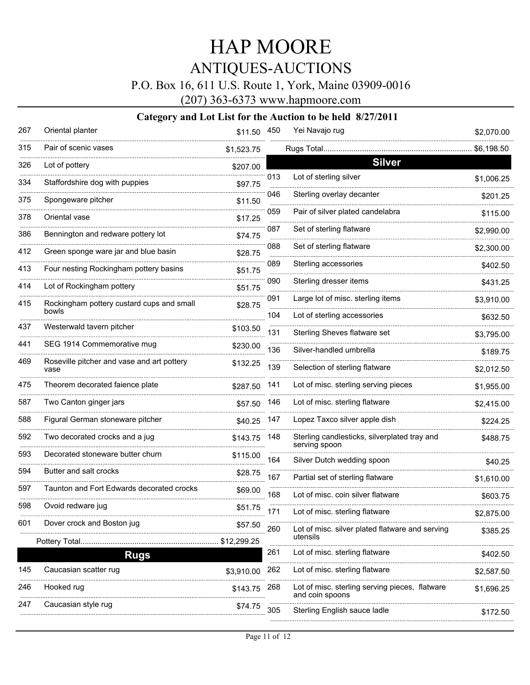P.O. Box 16, 611 U.S. Route 1, York, Maine 03909-0016

(207) 363-6373 www.hapmoore.com

| 267 | Oriental planter                                   | \$11.50 450 |     | Yei Navajo rug                                                    | \$2,070.00 |
|-----|----------------------------------------------------|-------------|-----|-------------------------------------------------------------------|------------|
| 315 | Pair of scenic vases                               | \$1,523.75  |     | Rugs Total                                                        | \$6,198.50 |
| 326 | Lot of pottery                                     | \$207.00    |     | <b>Silver</b>                                                     |            |
| 334 | Staffordshire dog with puppies                     | \$97.75     | 013 | Lot of sterling silver                                            | \$1,006.25 |
| 375 | Spongeware pitcher                                 | \$11.50     | 046 | Sterling overlay decanter                                         | \$201.25   |
| 378 | Oriental vase                                      | \$17.25     | 059 | Pair of silver plated candelabra                                  | \$115.00   |
| 386 | Bennington and redware pottery lot                 | \$74.75     | 087 | Set of sterling flatware                                          | \$2,990.00 |
| 412 | Green sponge ware jar and blue basin               | \$28.75     | 088 | Set of sterling flatware                                          | \$2,300.00 |
| 413 | Four nesting Rockingham pottery basins             | \$51.75     | 089 | Sterling accessories                                              | \$402.50   |
| 414 | Lot of Rockingham pottery                          | \$51.75     | 090 | Sterling dresser items                                            | \$431.25   |
| 415 | Rockingham pottery custard cups and small          | \$28.75     | 091 | Large lot of misc. sterling items                                 | \$3,910.00 |
|     | bowls                                              |             | 104 | Lot of sterling accessories                                       | \$632.50   |
| 437 | Westerwald tavern pitcher                          | \$103.50    | 131 | Sterling Sheves flatware set                                      | \$3,795.00 |
| 441 | SEG 1914 Commemorative mug                         | \$230.00    | 136 | Silver-handled umbrella                                           | \$189.75   |
| 469 | Roseville pitcher and vase and art pottery<br>vase | \$132.25    | 139 | Selection of sterling flatware                                    | \$2,012.50 |
| 475 | Theorem decorated faience plate                    | \$287.50    | 141 | Lot of misc. sterling serving pieces                              | \$1,955.00 |
| 587 | Two Canton ginger jars                             | \$57.50     | 146 | Lot of misc. sterling flatware                                    | \$2,415.00 |
| 588 | Figural German stoneware pitcher                   | \$40.25     | 147 | Lopez Taxco silver apple dish                                     | \$224.25   |
| 592 | Two decorated crocks and a jug                     | \$143.75    | 148 | Sterling candlesticks, silverplated tray and<br>serving spoon     | \$488.75   |
| 593 | Decorated stoneware butter churn                   | \$115.00    | 164 | Silver Dutch wedding spoon                                        | \$40.25    |
| 594 | Butter and salt crocks                             | \$28.75     | 167 | Partial set of sterling flatware                                  | \$1,610.00 |
| 597 | Taunton and Fort Edwards decorated crocks          | \$69.00     | 168 | Lot of misc, coin silver flatware                                 | \$603.75   |
| 598 | Ovoid redware jug                                  | \$51.75     | 171 | Lot of misc. sterling flatware                                    | \$2,875.00 |
| 601 | Dover crock and Boston jug                         | \$57.50     | 260 | Lot of misc. silver plated flatware and serving                   | \$385.25   |
|     |                                                    | \$12,299.25 |     | utensils                                                          |            |
|     | <b>Rugs</b>                                        |             | 261 | Lot of misc. sterling flatware                                    | \$402.50   |
| 145 | Caucasian scatter rug                              | \$3,910.00  | 262 | Lot of misc. sterling flatware                                    | \$2,587.50 |
| 246 | Hooked rug                                         | \$143.75    | 268 | Lot of misc. sterling serving pieces, flatware<br>and coin spoons | \$1,696.25 |
| 247 | Caucasian style rug                                | \$74.75     | 305 | Sterling English sauce ladle                                      | \$172.50   |